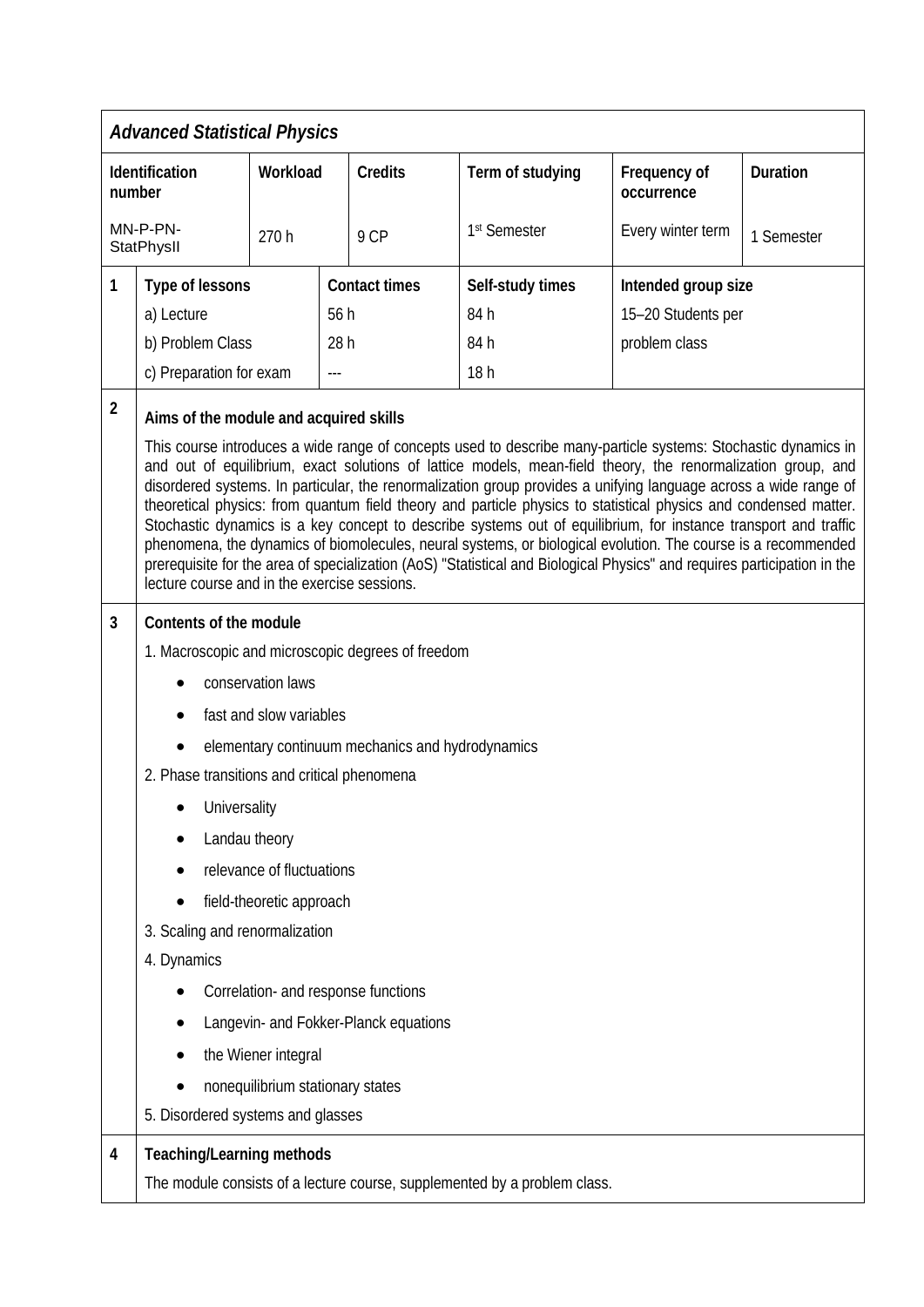| <b>Advanced Statistical Physics</b> |                                                                                                                                                                                                                                                                                                                                                                                                                                                                                                                                                                                                                                                                                                                                                                      |          |  |                      |                                                                           |                            |                 |  |
|-------------------------------------|----------------------------------------------------------------------------------------------------------------------------------------------------------------------------------------------------------------------------------------------------------------------------------------------------------------------------------------------------------------------------------------------------------------------------------------------------------------------------------------------------------------------------------------------------------------------------------------------------------------------------------------------------------------------------------------------------------------------------------------------------------------------|----------|--|----------------------|---------------------------------------------------------------------------|----------------------------|-----------------|--|
| Identification<br>number            |                                                                                                                                                                                                                                                                                                                                                                                                                                                                                                                                                                                                                                                                                                                                                                      | Workload |  | <b>Credits</b>       | Term of studying                                                          | Frequency of<br>occurrence | <b>Duration</b> |  |
| MN-P-PN-<br>StatPhysII              |                                                                                                                                                                                                                                                                                                                                                                                                                                                                                                                                                                                                                                                                                                                                                                      | 270h     |  | 9 CP                 | 1st Semester                                                              | Every winter term          | 1 Semester      |  |
| 1                                   | Type of lessons                                                                                                                                                                                                                                                                                                                                                                                                                                                                                                                                                                                                                                                                                                                                                      |          |  | <b>Contact times</b> | Self-study times                                                          | Intended group size        |                 |  |
|                                     | a) Lecture                                                                                                                                                                                                                                                                                                                                                                                                                                                                                                                                                                                                                                                                                                                                                           | 56h      |  |                      | 84h                                                                       | 15-20 Students per         |                 |  |
|                                     | b) Problem Class                                                                                                                                                                                                                                                                                                                                                                                                                                                                                                                                                                                                                                                                                                                                                     | 28h      |  |                      | 84 h                                                                      | problem class              |                 |  |
|                                     | c) Preparation for exam                                                                                                                                                                                                                                                                                                                                                                                                                                                                                                                                                                                                                                                                                                                                              |          |  |                      | 18h                                                                       |                            |                 |  |
| $\overline{2}$                      | Aims of the module and acquired skills<br>This course introduces a wide range of concepts used to describe many-particle systems: Stochastic dynamics in                                                                                                                                                                                                                                                                                                                                                                                                                                                                                                                                                                                                             |          |  |                      |                                                                           |                            |                 |  |
|                                     | and out of equilibrium, exact solutions of lattice models, mean-field theory, the renormalization group, and<br>disordered systems. In particular, the renormalization group provides a unifying language across a wide range of<br>theoretical physics: from quantum field theory and particle physics to statistical physics and condensed matter.<br>Stochastic dynamics is a key concept to describe systems out of equilibrium, for instance transport and traffic<br>phenomena, the dynamics of biomolecules, neural systems, or biological evolution. The course is a recommended<br>prerequisite for the area of specialization (AoS) "Statistical and Biological Physics" and requires participation in the<br>lecture course and in the exercise sessions. |          |  |                      |                                                                           |                            |                 |  |
| 3                                   | Contents of the module                                                                                                                                                                                                                                                                                                                                                                                                                                                                                                                                                                                                                                                                                                                                               |          |  |                      |                                                                           |                            |                 |  |
|                                     | 1. Macroscopic and microscopic degrees of freedom                                                                                                                                                                                                                                                                                                                                                                                                                                                                                                                                                                                                                                                                                                                    |          |  |                      |                                                                           |                            |                 |  |
|                                     | conservation laws                                                                                                                                                                                                                                                                                                                                                                                                                                                                                                                                                                                                                                                                                                                                                    |          |  |                      |                                                                           |                            |                 |  |
|                                     | fast and slow variables                                                                                                                                                                                                                                                                                                                                                                                                                                                                                                                                                                                                                                                                                                                                              |          |  |                      |                                                                           |                            |                 |  |
|                                     | elementary continuum mechanics and hydrodynamics                                                                                                                                                                                                                                                                                                                                                                                                                                                                                                                                                                                                                                                                                                                     |          |  |                      |                                                                           |                            |                 |  |
|                                     | 2. Phase transitions and critical phenomena                                                                                                                                                                                                                                                                                                                                                                                                                                                                                                                                                                                                                                                                                                                          |          |  |                      |                                                                           |                            |                 |  |
|                                     | Universality                                                                                                                                                                                                                                                                                                                                                                                                                                                                                                                                                                                                                                                                                                                                                         |          |  |                      |                                                                           |                            |                 |  |
|                                     | Landau theory                                                                                                                                                                                                                                                                                                                                                                                                                                                                                                                                                                                                                                                                                                                                                        |          |  |                      |                                                                           |                            |                 |  |
|                                     | relevance of fluctuations                                                                                                                                                                                                                                                                                                                                                                                                                                                                                                                                                                                                                                                                                                                                            |          |  |                      |                                                                           |                            |                 |  |
|                                     | field-theoretic approach                                                                                                                                                                                                                                                                                                                                                                                                                                                                                                                                                                                                                                                                                                                                             |          |  |                      |                                                                           |                            |                 |  |
|                                     | 3. Scaling and renormalization                                                                                                                                                                                                                                                                                                                                                                                                                                                                                                                                                                                                                                                                                                                                       |          |  |                      |                                                                           |                            |                 |  |
|                                     | 4. Dynamics                                                                                                                                                                                                                                                                                                                                                                                                                                                                                                                                                                                                                                                                                                                                                          |          |  |                      |                                                                           |                            |                 |  |
|                                     | Correlation- and response functions                                                                                                                                                                                                                                                                                                                                                                                                                                                                                                                                                                                                                                                                                                                                  |          |  |                      |                                                                           |                            |                 |  |
|                                     | Langevin- and Fokker-Planck equations                                                                                                                                                                                                                                                                                                                                                                                                                                                                                                                                                                                                                                                                                                                                |          |  |                      |                                                                           |                            |                 |  |
|                                     | the Wiener integral                                                                                                                                                                                                                                                                                                                                                                                                                                                                                                                                                                                                                                                                                                                                                  |          |  |                      |                                                                           |                            |                 |  |
|                                     | nonequilibrium stationary states                                                                                                                                                                                                                                                                                                                                                                                                                                                                                                                                                                                                                                                                                                                                     |          |  |                      |                                                                           |                            |                 |  |
|                                     | 5. Disordered systems and glasses                                                                                                                                                                                                                                                                                                                                                                                                                                                                                                                                                                                                                                                                                                                                    |          |  |                      |                                                                           |                            |                 |  |
| 4                                   | <b>Teaching/Learning methods</b>                                                                                                                                                                                                                                                                                                                                                                                                                                                                                                                                                                                                                                                                                                                                     |          |  |                      |                                                                           |                            |                 |  |
|                                     |                                                                                                                                                                                                                                                                                                                                                                                                                                                                                                                                                                                                                                                                                                                                                                      |          |  |                      | The module consists of a lecture course, supplemented by a problem class. |                            |                 |  |